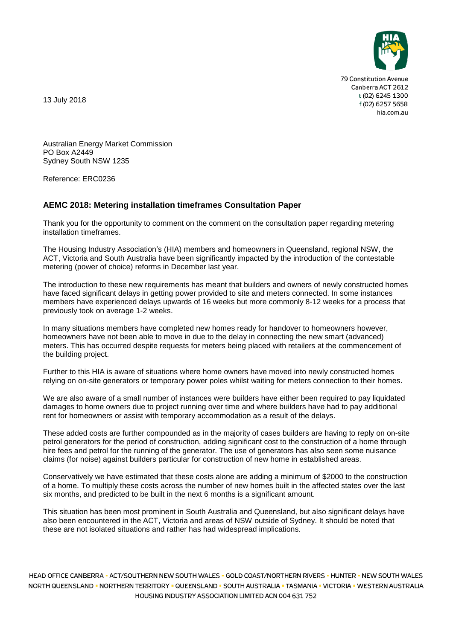

79 Constitution Avenue Canberra ACT 2612 t (02) 6245 1300 f (02) 6257 5658 hia.com.au

13 July 2018

Australian Energy Market Commission PO Box A2449 Sydney South NSW 1235

Reference: ERC0236

## **AEMC 2018: Metering installation timeframes Consultation Paper**

Thank you for the opportunity to comment on the comment on the consultation paper regarding metering installation timeframes.

The Housing Industry Association's (HIA) members and homeowners in Queensland, regional NSW, the ACT, Victoria and South Australia have been significantly impacted by the introduction of the contestable metering (power of choice) reforms in December last year.

The introduction to these new requirements has meant that builders and owners of newly constructed homes have faced significant delays in getting power provided to site and meters connected. In some instances members have experienced delays upwards of 16 weeks but more commonly 8-12 weeks for a process that previously took on average 1-2 weeks.

In many situations members have completed new homes ready for handover to homeowners however, homeowners have not been able to move in due to the delay in connecting the new smart (advanced) meters. This has occurred despite requests for meters being placed with retailers at the commencement of the building project.

Further to this HIA is aware of situations where home owners have moved into newly constructed homes relying on on-site generators or temporary power poles whilst waiting for meters connection to their homes.

We are also aware of a small number of instances were builders have either been required to pay liquidated damages to home owners due to project running over time and where builders have had to pay additional rent for homeowners or assist with temporary accommodation as a result of the delays.

These added costs are further compounded as in the majority of cases builders are having to reply on on-site petrol generators for the period of construction, adding significant cost to the construction of a home through hire fees and petrol for the running of the generator. The use of generators has also seen some nuisance claims (for noise) against builders particular for construction of new home in established areas.

Conservatively we have estimated that these costs alone are adding a minimum of \$2000 to the construction of a home. To multiply these costs across the number of new homes built in the affected states over the last six months, and predicted to be built in the next 6 months is a significant amount.

This situation has been most prominent in South Australia and Queensland, but also significant delays have also been encountered in the ACT, Victoria and areas of NSW outside of Sydney. It should be noted that these are not isolated situations and rather has had widespread implications.

HEAD OFFICE CANBERRA = ACT/SOUTHERN NEW SOUTH WALES = GOLD COAST/NORTHERN RIVERS = HUNTER = NEW SOUTH WALES NORTH QUEENSLAND - NORTHERN TERRITORY - QUEENSLAND - SOUTH AUSTRALIA - TASMANIA - VICTORIA - WESTERN AUSTRALIA HOUSING INDUSTRY ASSOCIATION LIMITED ACN 004 631 752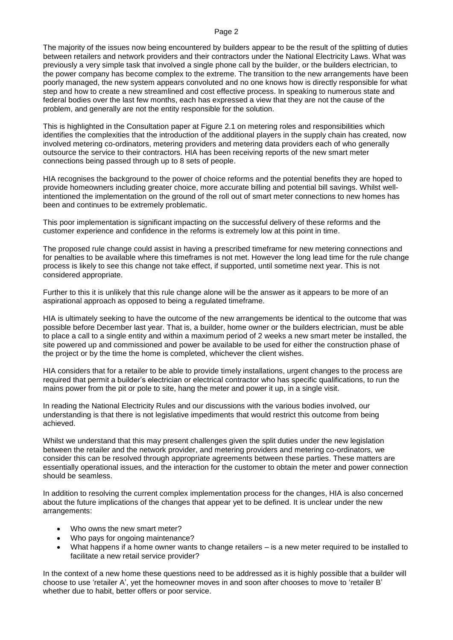## Page 2

The majority of the issues now being encountered by builders appear to be the result of the splitting of duties between retailers and network providers and their contractors under the National Electricity Laws. What was previously a very simple task that involved a single phone call by the builder, or the builders electrician, to the power company has become complex to the extreme. The transition to the new arrangements have been poorly managed, the new system appears convoluted and no one knows how is directly responsible for what step and how to create a new streamlined and cost effective process. In speaking to numerous state and federal bodies over the last few months, each has expressed a view that they are not the cause of the problem, and generally are not the entity responsible for the solution.

This is highlighted in the Consultation paper at Figure 2.1 on metering roles and responsibilities which identifies the complexities that the introduction of the additional players in the supply chain has created, now involved metering co-ordinators, metering providers and metering data providers each of who generally outsource the service to their contractors. HIA has been receiving reports of the new smart meter connections being passed through up to 8 sets of people.

HIA recognises the background to the power of choice reforms and the potential benefits they are hoped to provide homeowners including greater choice, more accurate billing and potential bill savings. Whilst wellintentioned the implementation on the ground of the roll out of smart meter connections to new homes has been and continues to be extremely problematic.

This poor implementation is significant impacting on the successful delivery of these reforms and the customer experience and confidence in the reforms is extremely low at this point in time.

The proposed rule change could assist in having a prescribed timeframe for new metering connections and for penalties to be available where this timeframes is not met. However the long lead time for the rule change process is likely to see this change not take effect, if supported, until sometime next year. This is not considered appropriate.

Further to this it is unlikely that this rule change alone will be the answer as it appears to be more of an aspirational approach as opposed to being a regulated timeframe.

HIA is ultimately seeking to have the outcome of the new arrangements be identical to the outcome that was possible before December last year. That is, a builder, home owner or the builders electrician, must be able to place a call to a single entity and within a maximum period of 2 weeks a new smart meter be installed, the site powered up and commissioned and power be available to be used for either the construction phase of the project or by the time the home is completed, whichever the client wishes.

HIA considers that for a retailer to be able to provide timely installations, urgent changes to the process are required that permit a builder's electrician or electrical contractor who has specific qualifications, to run the mains power from the pit or pole to site, hang the meter and power it up, in a single visit.

In reading the National Electricity Rules and our discussions with the various bodies involved, our understanding is that there is not legislative impediments that would restrict this outcome from being achieved.

Whilst we understand that this may present challenges given the split duties under the new legislation between the retailer and the network provider, and metering providers and metering co-ordinators, we consider this can be resolved through appropriate agreements between these parties. These matters are essentially operational issues, and the interaction for the customer to obtain the meter and power connection should be seamless.

In addition to resolving the current complex implementation process for the changes, HIA is also concerned about the future implications of the changes that appear yet to be defined. It is unclear under the new arrangements:

- Who owns the new smart meter?
- Who pays for ongoing maintenance?
- What happens if a home owner wants to change retailers is a new meter required to be installed to facilitate a new retail service provider?

In the context of a new home these questions need to be addressed as it is highly possible that a builder will choose to use 'retailer A', yet the homeowner moves in and soon after chooses to move to 'retailer B' whether due to habit, better offers or poor service.